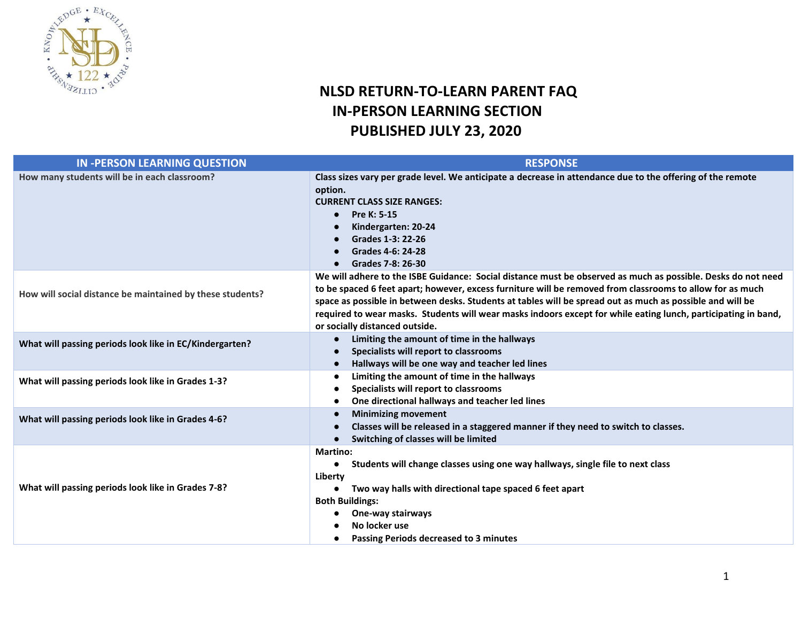

### **NLSD RETURN-TO-LEARN PARENT FAQ IN-PERSON LEARNING SECTION PUBLISHED JULY 23, 2020**

| <b>IN-PERSON LEARNING QUESTION</b>                        | <b>RESPONSE</b>                                                                                                                                                                                                                                                                                                                                                                                                                                                                            |
|-----------------------------------------------------------|--------------------------------------------------------------------------------------------------------------------------------------------------------------------------------------------------------------------------------------------------------------------------------------------------------------------------------------------------------------------------------------------------------------------------------------------------------------------------------------------|
| How many students will be in each classroom?              | Class sizes vary per grade level. We anticipate a decrease in attendance due to the offering of the remote<br>option.<br><b>CURRENT CLASS SIZE RANGES:</b><br>Pre K: 5-15<br>$\bullet$<br>Kindergarten: 20-24<br>Grades 1-3: 22-26<br>Grades 4-6: 24-28<br>Grades 7-8: 26-30                                                                                                                                                                                                               |
| How will social distance be maintained by these students? | We will adhere to the ISBE Guidance: Social distance must be observed as much as possible. Desks do not need<br>to be spaced 6 feet apart; however, excess furniture will be removed from classrooms to allow for as much<br>space as possible in between desks. Students at tables will be spread out as much as possible and will be<br>required to wear masks. Students will wear masks indoors except for while eating lunch, participating in band,<br>or socially distanced outside. |
| What will passing periods look like in EC/Kindergarten?   | Limiting the amount of time in the hallways<br>Specialists will report to classrooms<br>Hallways will be one way and teacher led lines                                                                                                                                                                                                                                                                                                                                                     |
| What will passing periods look like in Grades 1-3?        | Limiting the amount of time in the hallways<br>$\bullet$<br>Specialists will report to classrooms<br>One directional hallways and teacher led lines                                                                                                                                                                                                                                                                                                                                        |
| What will passing periods look like in Grades 4-6?        | <b>Minimizing movement</b><br>Classes will be released in a staggered manner if they need to switch to classes.<br>Switching of classes will be limited                                                                                                                                                                                                                                                                                                                                    |
| What will passing periods look like in Grades 7-8?        | <b>Martino:</b><br>Students will change classes using one way hallways, single file to next class<br>$\bullet$<br>Liberty<br>Two way halls with directional tape spaced 6 feet apart<br><b>Both Buildings:</b><br>One-way stairways<br>$\bullet$<br>No locker use<br>Passing Periods decreased to 3 minutes                                                                                                                                                                                |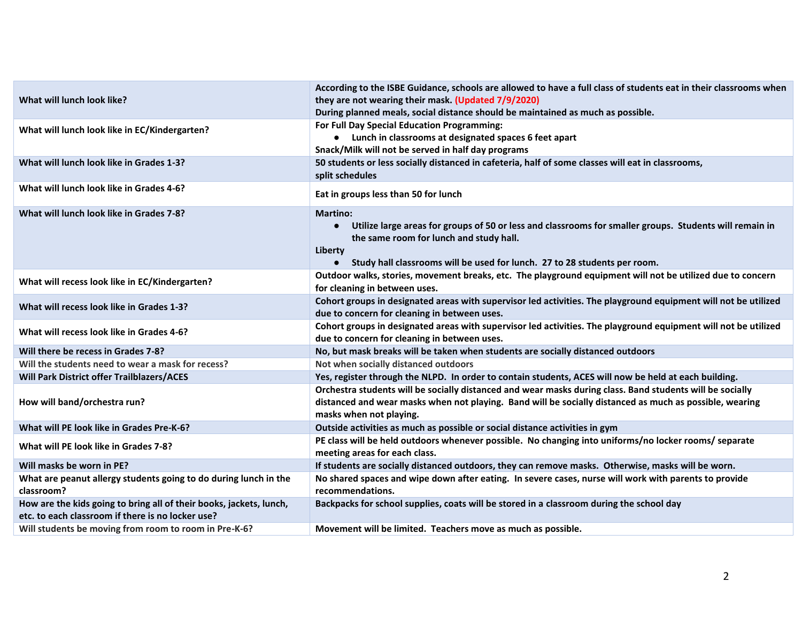| What will lunch look like?                                                                                               | According to the ISBE Guidance, schools are allowed to have a full class of students eat in their classrooms when<br>they are not wearing their mask. (Updated 7/9/2020)<br>During planned meals, social distance should be maintained as much as possible.                             |
|--------------------------------------------------------------------------------------------------------------------------|-----------------------------------------------------------------------------------------------------------------------------------------------------------------------------------------------------------------------------------------------------------------------------------------|
| What will lunch look like in EC/Kindergarten?                                                                            | For Full Day Special Education Programming:<br>• Lunch in classrooms at designated spaces 6 feet apart<br>Snack/Milk will not be served in half day programs                                                                                                                            |
| What will lunch look like in Grades 1-3?                                                                                 | 50 students or less socially distanced in cafeteria, half of some classes will eat in classrooms,<br>split schedules                                                                                                                                                                    |
| What will lunch look like in Grades 4-6?                                                                                 | Eat in groups less than 50 for lunch                                                                                                                                                                                                                                                    |
| What will lunch look like in Grades 7-8?                                                                                 | <b>Martino:</b><br>Utilize large areas for groups of 50 or less and classrooms for smaller groups. Students will remain in<br>$\bullet$<br>the same room for lunch and study hall.<br>Liberty<br>Study hall classrooms will be used for lunch. 27 to 28 students per room.<br>$\bullet$ |
| What will recess look like in EC/Kindergarten?                                                                           | Outdoor walks, stories, movement breaks, etc. The playground equipment will not be utilized due to concern<br>for cleaning in between uses.                                                                                                                                             |
| What will recess look like in Grades 1-3?                                                                                | Cohort groups in designated areas with supervisor led activities. The playground equipment will not be utilized<br>due to concern for cleaning in between uses.                                                                                                                         |
| What will recess look like in Grades 4-6?                                                                                | Cohort groups in designated areas with supervisor led activities. The playground equipment will not be utilized<br>due to concern for cleaning in between uses.                                                                                                                         |
| Will there be recess in Grades 7-8?                                                                                      | No, but mask breaks will be taken when students are socially distanced outdoors                                                                                                                                                                                                         |
| Will the students need to wear a mask for recess?                                                                        | Not when socially distanced outdoors                                                                                                                                                                                                                                                    |
| Will Park District offer Trailblazers/ACES                                                                               | Yes, register through the NLPD. In order to contain students, ACES will now be held at each building.                                                                                                                                                                                   |
| How will band/orchestra run?                                                                                             | Orchestra students will be socially distanced and wear masks during class. Band students will be socially<br>distanced and wear masks when not playing. Band will be socially distanced as much as possible, wearing<br>masks when not playing.                                         |
| What will PE look like in Grades Pre-K-6?                                                                                | Outside activities as much as possible or social distance activities in gym                                                                                                                                                                                                             |
| What will PE look like in Grades 7-8?                                                                                    | PE class will be held outdoors whenever possible. No changing into uniforms/no locker rooms/ separate<br>meeting areas for each class.                                                                                                                                                  |
| Will masks be worn in PE?                                                                                                | If students are socially distanced outdoors, they can remove masks. Otherwise, masks will be worn.                                                                                                                                                                                      |
| What are peanut allergy students going to do during lunch in the<br>classroom?                                           | No shared spaces and wipe down after eating. In severe cases, nurse will work with parents to provide<br>recommendations.                                                                                                                                                               |
| How are the kids going to bring all of their books, jackets, lunch,<br>etc. to each classroom if there is no locker use? | Backpacks for school supplies, coats will be stored in a classroom during the school day                                                                                                                                                                                                |
| Will students be moving from room to room in Pre-K-6?                                                                    | Movement will be limited. Teachers move as much as possible.                                                                                                                                                                                                                            |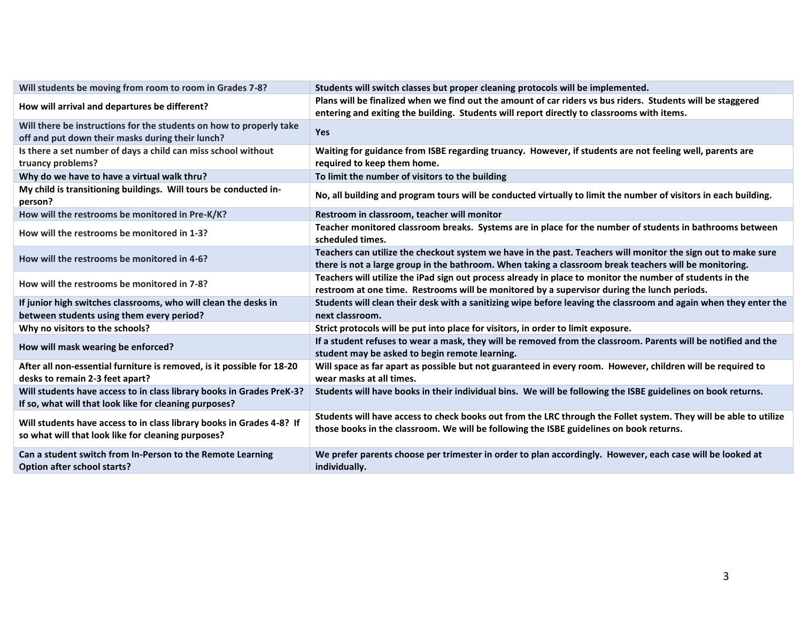| Will students be moving from room to room in Grades 7-8?                                                                        | Students will switch classes but proper cleaning protocols will be implemented.                                                                                                                                         |
|---------------------------------------------------------------------------------------------------------------------------------|-------------------------------------------------------------------------------------------------------------------------------------------------------------------------------------------------------------------------|
| How will arrival and departures be different?                                                                                   | Plans will be finalized when we find out the amount of car riders vs bus riders. Students will be staggered<br>entering and exiting the building. Students will report directly to classrooms with items.               |
| Will there be instructions for the students on how to properly take<br>off and put down their masks during their lunch?         | <b>Yes</b>                                                                                                                                                                                                              |
| Is there a set number of days a child can miss school without<br>truancy problems?                                              | Waiting for guidance from ISBE regarding truancy. However, if students are not feeling well, parents are<br>required to keep them home.                                                                                 |
| Why do we have to have a virtual walk thru?                                                                                     | To limit the number of visitors to the building                                                                                                                                                                         |
| My child is transitioning buildings. Will tours be conducted in-<br>person?                                                     | No, all building and program tours will be conducted virtually to limit the number of visitors in each building.                                                                                                        |
| How will the restrooms be monitored in Pre-K/K?                                                                                 | Restroom in classroom, teacher will monitor                                                                                                                                                                             |
| How will the restrooms be monitored in 1-3?                                                                                     | Teacher monitored classroom breaks. Systems are in place for the number of students in bathrooms between<br>scheduled times.                                                                                            |
| How will the restrooms be monitored in 4-6?                                                                                     | Teachers can utilize the checkout system we have in the past. Teachers will monitor the sign out to make sure<br>there is not a large group in the bathroom. When taking a classroom break teachers will be monitoring. |
| How will the restrooms be monitored in 7-8?                                                                                     | Teachers will utilize the iPad sign out process already in place to monitor the number of students in the<br>restroom at one time. Restrooms will be monitored by a supervisor during the lunch periods.                |
| If junior high switches classrooms, who will clean the desks in<br>between students using them every period?                    | Students will clean their desk with a sanitizing wipe before leaving the classroom and again when they enter the<br>next classroom.                                                                                     |
| Why no visitors to the schools?                                                                                                 | Strict protocols will be put into place for visitors, in order to limit exposure.                                                                                                                                       |
| How will mask wearing be enforced?                                                                                              | If a student refuses to wear a mask, they will be removed from the classroom. Parents will be notified and the<br>student may be asked to begin remote learning.                                                        |
| After all non-essential furniture is removed, is it possible for 18-20<br>desks to remain 2-3 feet apart?                       | Will space as far apart as possible but not guaranteed in every room. However, children will be required to<br>wear masks at all times.                                                                                 |
| Will students have access to in class library books in Grades PreK-3?<br>If so, what will that look like for cleaning purposes? | Students will have books in their individual bins. We will be following the ISBE guidelines on book returns.                                                                                                            |
| Will students have access to in class library books in Grades 4-8? If<br>so what will that look like for cleaning purposes?     | Students will have access to check books out from the LRC through the Follet system. They will be able to utilize<br>those books in the classroom. We will be following the ISBE guidelines on book returns.            |
| Can a student switch from In-Person to the Remote Learning<br><b>Option after school starts?</b>                                | We prefer parents choose per trimester in order to plan accordingly. However, each case will be looked at<br>individually.                                                                                              |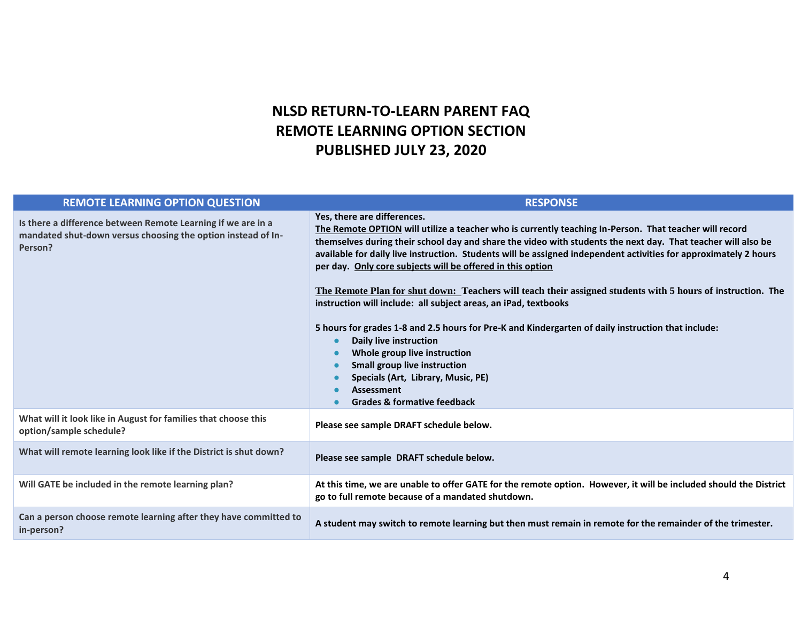### **NLSD RETURN-TO-LEARN PARENT FAQ REMOTE LEARNING OPTION SECTION PUBLISHED JULY 23, 2020**

| <b>REMOTE LEARNING OPTION QUESTION</b>                                                                                                  | <b>RESPONSE</b>                                                                                                                                                                                                                                                                                                                                                                                                                                                                                                                                                                                                                                                                                                                                                                                                                                                                                                                       |
|-----------------------------------------------------------------------------------------------------------------------------------------|---------------------------------------------------------------------------------------------------------------------------------------------------------------------------------------------------------------------------------------------------------------------------------------------------------------------------------------------------------------------------------------------------------------------------------------------------------------------------------------------------------------------------------------------------------------------------------------------------------------------------------------------------------------------------------------------------------------------------------------------------------------------------------------------------------------------------------------------------------------------------------------------------------------------------------------|
| Is there a difference between Remote Learning if we are in a<br>mandated shut-down versus choosing the option instead of In-<br>Person? | Yes, there are differences.<br>The Remote OPTION will utilize a teacher who is currently teaching In-Person. That teacher will record<br>themselves during their school day and share the video with students the next day. That teacher will also be<br>available for daily live instruction. Students will be assigned independent activities for approximately 2 hours<br>per day. Only core subjects will be offered in this option<br>The Remote Plan for shut down: Teachers will teach their assigned students with 5 hours of instruction. The<br>instruction will include: all subject areas, an iPad, textbooks<br>5 hours for grades 1-8 and 2.5 hours for Pre-K and Kindergarten of daily instruction that include:<br>Daily live instruction<br>Whole group live instruction<br><b>Small group live instruction</b><br>Specials (Art, Library, Music, PE)<br><b>Assessment</b><br><b>Grades &amp; formative feedback</b> |
| What will it look like in August for families that choose this<br>option/sample schedule?                                               | Please see sample DRAFT schedule below.                                                                                                                                                                                                                                                                                                                                                                                                                                                                                                                                                                                                                                                                                                                                                                                                                                                                                               |
| What will remote learning look like if the District is shut down?                                                                       | Please see sample DRAFT schedule below.                                                                                                                                                                                                                                                                                                                                                                                                                                                                                                                                                                                                                                                                                                                                                                                                                                                                                               |
| Will GATE be included in the remote learning plan?                                                                                      | At this time, we are unable to offer GATE for the remote option. However, it will be included should the District<br>go to full remote because of a mandated shutdown.                                                                                                                                                                                                                                                                                                                                                                                                                                                                                                                                                                                                                                                                                                                                                                |
| Can a person choose remote learning after they have committed to<br>in-person?                                                          | A student may switch to remote learning but then must remain in remote for the remainder of the trimester.                                                                                                                                                                                                                                                                                                                                                                                                                                                                                                                                                                                                                                                                                                                                                                                                                            |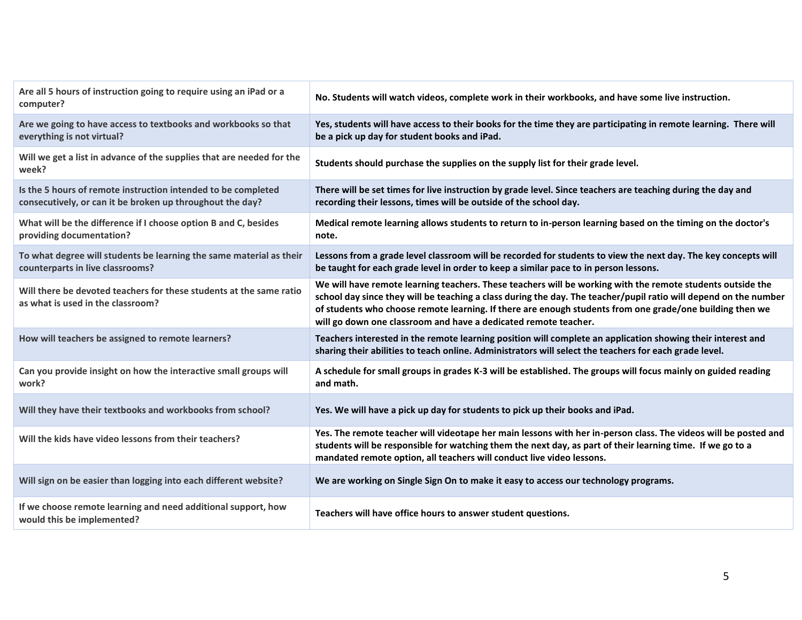| Yes, students will have access to their books for the time they are participating in remote learning. There will<br>Are we going to have access to textbooks and workbooks so that<br>everything is not virtual?<br>be a pick up day for student books and iPad.<br>Will we get a list in advance of the supplies that are needed for the<br>Students should purchase the supplies on the supply list for their grade level.<br>week?<br>Is the 5 hours of remote instruction intended to be completed<br>There will be set times for live instruction by grade level. Since teachers are teaching during the day and<br>recording their lessons, times will be outside of the school day.<br>consecutively, or can it be broken up throughout the day?<br>What will be the difference if I choose option B and C, besides<br>Medical remote learning allows students to return to in-person learning based on the timing on the doctor's<br>providing documentation?<br>note.<br>Lessons from a grade level classroom will be recorded for students to view the next day. The key concepts will<br>To what degree will students be learning the same material as their<br>counterparts in live classrooms?<br>be taught for each grade level in order to keep a similar pace to in person lessons.<br>We will have remote learning teachers. These teachers will be working with the remote students outside the<br>Will there be devoted teachers for these students at the same ratio<br>school day since they will be teaching a class during the day. The teacher/pupil ratio will depend on the number<br>as what is used in the classroom?<br>of students who choose remote learning. If there are enough students from one grade/one building then we<br>will go down one classroom and have a dedicated remote teacher.<br>How will teachers be assigned to remote learners?<br>Teachers interested in the remote learning position will complete an application showing their interest and<br>sharing their abilities to teach online. Administrators will select the teachers for each grade level.<br>A schedule for small groups in grades K-3 will be established. The groups will focus mainly on guided reading<br>Can you provide insight on how the interactive small groups will<br>and math.<br>work?<br>Will they have their textbooks and workbooks from school?<br>Yes. We will have a pick up day for students to pick up their books and iPad.<br>Yes. The remote teacher will videotape her main lessons with her in-person class. The videos will be posted and<br>Will the kids have video lessons from their teachers?<br>students will be responsible for watching them the next day, as part of their learning time. If we go to a<br>mandated remote option, all teachers will conduct live video lessons.<br>Will sign on be easier than logging into each different website?<br>We are working on Single Sign On to make it easy to access our technology programs.<br>If we choose remote learning and need additional support, how<br>Teachers will have office hours to answer student questions.<br>would this be implemented? | Are all 5 hours of instruction going to require using an iPad or a<br>computer? | No. Students will watch videos, complete work in their workbooks, and have some live instruction. |
|----------------------------------------------------------------------------------------------------------------------------------------------------------------------------------------------------------------------------------------------------------------------------------------------------------------------------------------------------------------------------------------------------------------------------------------------------------------------------------------------------------------------------------------------------------------------------------------------------------------------------------------------------------------------------------------------------------------------------------------------------------------------------------------------------------------------------------------------------------------------------------------------------------------------------------------------------------------------------------------------------------------------------------------------------------------------------------------------------------------------------------------------------------------------------------------------------------------------------------------------------------------------------------------------------------------------------------------------------------------------------------------------------------------------------------------------------------------------------------------------------------------------------------------------------------------------------------------------------------------------------------------------------------------------------------------------------------------------------------------------------------------------------------------------------------------------------------------------------------------------------------------------------------------------------------------------------------------------------------------------------------------------------------------------------------------------------------------------------------------------------------------------------------------------------------------------------------------------------------------------------------------------------------------------------------------------------------------------------------------------------------------------------------------------------------------------------------------------------------------------------------------------------------------------------------------------------------------------------------------------------------------------------------------------------------------------------------------------------------------------------------------------------------------------------------------------------------------------------------------------------------------------------------------------------------------------------------------------------------------------------------------------------------------------------------------------------------------------------------------------------------------------------------------------|---------------------------------------------------------------------------------|---------------------------------------------------------------------------------------------------|
|                                                                                                                                                                                                                                                                                                                                                                                                                                                                                                                                                                                                                                                                                                                                                                                                                                                                                                                                                                                                                                                                                                                                                                                                                                                                                                                                                                                                                                                                                                                                                                                                                                                                                                                                                                                                                                                                                                                                                                                                                                                                                                                                                                                                                                                                                                                                                                                                                                                                                                                                                                                                                                                                                                                                                                                                                                                                                                                                                                                                                                                                                                                                                                      |                                                                                 |                                                                                                   |
|                                                                                                                                                                                                                                                                                                                                                                                                                                                                                                                                                                                                                                                                                                                                                                                                                                                                                                                                                                                                                                                                                                                                                                                                                                                                                                                                                                                                                                                                                                                                                                                                                                                                                                                                                                                                                                                                                                                                                                                                                                                                                                                                                                                                                                                                                                                                                                                                                                                                                                                                                                                                                                                                                                                                                                                                                                                                                                                                                                                                                                                                                                                                                                      |                                                                                 |                                                                                                   |
|                                                                                                                                                                                                                                                                                                                                                                                                                                                                                                                                                                                                                                                                                                                                                                                                                                                                                                                                                                                                                                                                                                                                                                                                                                                                                                                                                                                                                                                                                                                                                                                                                                                                                                                                                                                                                                                                                                                                                                                                                                                                                                                                                                                                                                                                                                                                                                                                                                                                                                                                                                                                                                                                                                                                                                                                                                                                                                                                                                                                                                                                                                                                                                      |                                                                                 |                                                                                                   |
|                                                                                                                                                                                                                                                                                                                                                                                                                                                                                                                                                                                                                                                                                                                                                                                                                                                                                                                                                                                                                                                                                                                                                                                                                                                                                                                                                                                                                                                                                                                                                                                                                                                                                                                                                                                                                                                                                                                                                                                                                                                                                                                                                                                                                                                                                                                                                                                                                                                                                                                                                                                                                                                                                                                                                                                                                                                                                                                                                                                                                                                                                                                                                                      |                                                                                 |                                                                                                   |
|                                                                                                                                                                                                                                                                                                                                                                                                                                                                                                                                                                                                                                                                                                                                                                                                                                                                                                                                                                                                                                                                                                                                                                                                                                                                                                                                                                                                                                                                                                                                                                                                                                                                                                                                                                                                                                                                                                                                                                                                                                                                                                                                                                                                                                                                                                                                                                                                                                                                                                                                                                                                                                                                                                                                                                                                                                                                                                                                                                                                                                                                                                                                                                      |                                                                                 |                                                                                                   |
|                                                                                                                                                                                                                                                                                                                                                                                                                                                                                                                                                                                                                                                                                                                                                                                                                                                                                                                                                                                                                                                                                                                                                                                                                                                                                                                                                                                                                                                                                                                                                                                                                                                                                                                                                                                                                                                                                                                                                                                                                                                                                                                                                                                                                                                                                                                                                                                                                                                                                                                                                                                                                                                                                                                                                                                                                                                                                                                                                                                                                                                                                                                                                                      |                                                                                 |                                                                                                   |
|                                                                                                                                                                                                                                                                                                                                                                                                                                                                                                                                                                                                                                                                                                                                                                                                                                                                                                                                                                                                                                                                                                                                                                                                                                                                                                                                                                                                                                                                                                                                                                                                                                                                                                                                                                                                                                                                                                                                                                                                                                                                                                                                                                                                                                                                                                                                                                                                                                                                                                                                                                                                                                                                                                                                                                                                                                                                                                                                                                                                                                                                                                                                                                      |                                                                                 |                                                                                                   |
|                                                                                                                                                                                                                                                                                                                                                                                                                                                                                                                                                                                                                                                                                                                                                                                                                                                                                                                                                                                                                                                                                                                                                                                                                                                                                                                                                                                                                                                                                                                                                                                                                                                                                                                                                                                                                                                                                                                                                                                                                                                                                                                                                                                                                                                                                                                                                                                                                                                                                                                                                                                                                                                                                                                                                                                                                                                                                                                                                                                                                                                                                                                                                                      |                                                                                 |                                                                                                   |
|                                                                                                                                                                                                                                                                                                                                                                                                                                                                                                                                                                                                                                                                                                                                                                                                                                                                                                                                                                                                                                                                                                                                                                                                                                                                                                                                                                                                                                                                                                                                                                                                                                                                                                                                                                                                                                                                                                                                                                                                                                                                                                                                                                                                                                                                                                                                                                                                                                                                                                                                                                                                                                                                                                                                                                                                                                                                                                                                                                                                                                                                                                                                                                      |                                                                                 |                                                                                                   |
|                                                                                                                                                                                                                                                                                                                                                                                                                                                                                                                                                                                                                                                                                                                                                                                                                                                                                                                                                                                                                                                                                                                                                                                                                                                                                                                                                                                                                                                                                                                                                                                                                                                                                                                                                                                                                                                                                                                                                                                                                                                                                                                                                                                                                                                                                                                                                                                                                                                                                                                                                                                                                                                                                                                                                                                                                                                                                                                                                                                                                                                                                                                                                                      |                                                                                 |                                                                                                   |
|                                                                                                                                                                                                                                                                                                                                                                                                                                                                                                                                                                                                                                                                                                                                                                                                                                                                                                                                                                                                                                                                                                                                                                                                                                                                                                                                                                                                                                                                                                                                                                                                                                                                                                                                                                                                                                                                                                                                                                                                                                                                                                                                                                                                                                                                                                                                                                                                                                                                                                                                                                                                                                                                                                                                                                                                                                                                                                                                                                                                                                                                                                                                                                      |                                                                                 |                                                                                                   |
|                                                                                                                                                                                                                                                                                                                                                                                                                                                                                                                                                                                                                                                                                                                                                                                                                                                                                                                                                                                                                                                                                                                                                                                                                                                                                                                                                                                                                                                                                                                                                                                                                                                                                                                                                                                                                                                                                                                                                                                                                                                                                                                                                                                                                                                                                                                                                                                                                                                                                                                                                                                                                                                                                                                                                                                                                                                                                                                                                                                                                                                                                                                                                                      |                                                                                 |                                                                                                   |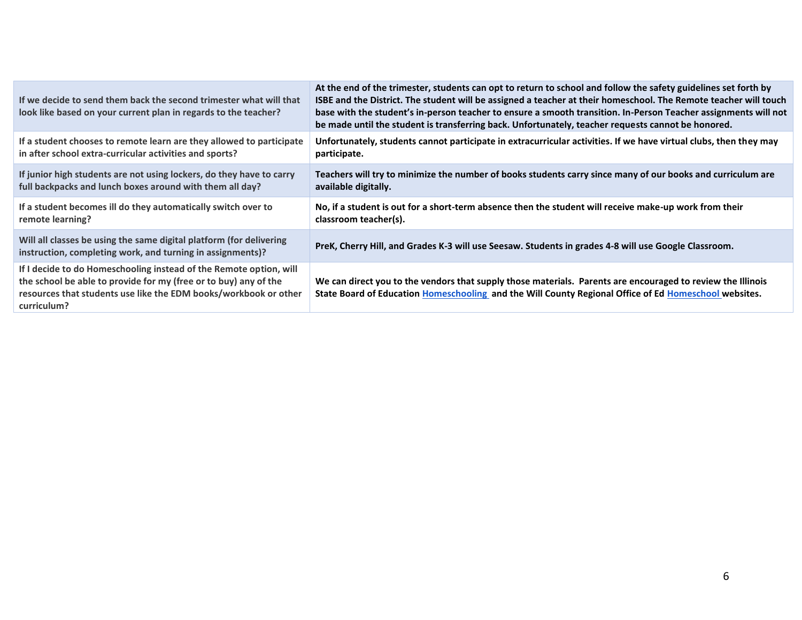| If we decide to send them back the second trimester what will that<br>look like based on your current plan in regards to the teacher?                                                                                     | At the end of the trimester, students can opt to return to school and follow the safety guidelines set forth by<br>ISBE and the District. The student will be assigned a teacher at their homeschool. The Remote teacher will touch<br>base with the student's in-person teacher to ensure a smooth transition. In-Person Teacher assignments will not<br>be made until the student is transferring back. Unfortunately, teacher requests cannot be honored. |
|---------------------------------------------------------------------------------------------------------------------------------------------------------------------------------------------------------------------------|--------------------------------------------------------------------------------------------------------------------------------------------------------------------------------------------------------------------------------------------------------------------------------------------------------------------------------------------------------------------------------------------------------------------------------------------------------------|
| If a student chooses to remote learn are they allowed to participate                                                                                                                                                      | Unfortunately, students cannot participate in extracurricular activities. If we have virtual clubs, then they may                                                                                                                                                                                                                                                                                                                                            |
| in after school extra-curricular activities and sports?                                                                                                                                                                   | participate.                                                                                                                                                                                                                                                                                                                                                                                                                                                 |
| If junior high students are not using lockers, do they have to carry                                                                                                                                                      | Teachers will try to minimize the number of books students carry since many of our books and curriculum are                                                                                                                                                                                                                                                                                                                                                  |
| full backpacks and lunch boxes around with them all day?                                                                                                                                                                  | available digitally.                                                                                                                                                                                                                                                                                                                                                                                                                                         |
| If a student becomes ill do they automatically switch over to                                                                                                                                                             | No, if a student is out for a short-term absence then the student will receive make-up work from their                                                                                                                                                                                                                                                                                                                                                       |
| remote learning?                                                                                                                                                                                                          | classroom teacher(s).                                                                                                                                                                                                                                                                                                                                                                                                                                        |
| Will all classes be using the same digital platform (for delivering<br>instruction, completing work, and turning in assignments)?                                                                                         | PreK, Cherry Hill, and Grades K-3 will use Seesaw. Students in grades 4-8 will use Google Classroom.                                                                                                                                                                                                                                                                                                                                                         |
| If I decide to do Homeschooling instead of the Remote option, will<br>the school be able to provide for my (free or to buy) any of the<br>resources that students use like the EDM books/workbook or other<br>curriculum? | We can direct you to the vendors that supply those materials. Parents are encouraged to review the Illinois<br>State Board of Education Homeschooling and the Will County Regional Office of Ed Homeschool websites.                                                                                                                                                                                                                                         |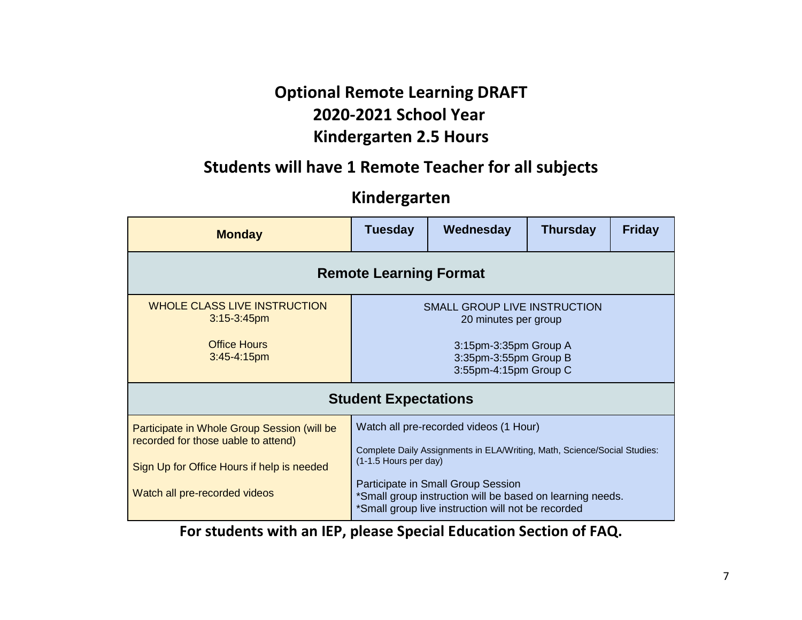# **Optional Remote Learning DRAFT 2020-2021 School Year Kindergarten 2.5 Hours**

### **Students will have 1 Remote Teacher for all subjects**

### **Kindergarten**

| <b>Monday</b>                                                                                                                                                     | <b>Tuesday</b>                                                                                                | Wednesday                                                                                                                                                                                                                                                                   | <b>Thursday</b> | <b>Friday</b> |  |  |
|-------------------------------------------------------------------------------------------------------------------------------------------------------------------|---------------------------------------------------------------------------------------------------------------|-----------------------------------------------------------------------------------------------------------------------------------------------------------------------------------------------------------------------------------------------------------------------------|-----------------|---------------|--|--|
| <b>Remote Learning Format</b>                                                                                                                                     |                                                                                                               |                                                                                                                                                                                                                                                                             |                 |               |  |  |
| WHOLE CLASS LIVE INSTRUCTION<br>$3:15 - 3:45$ pm<br><b>Office Hours</b><br>$3:45 - 4:15$ pm                                                                       | <b>SMALL GROUP LIVE INSTRUCTION</b><br>20 minutes per group<br>3:15pm-3:35pm Group A<br>3:35pm-3:55pm Group B |                                                                                                                                                                                                                                                                             |                 |               |  |  |
|                                                                                                                                                                   | 3:55pm-4:15pm Group C<br><b>Student Expectations</b>                                                          |                                                                                                                                                                                                                                                                             |                 |               |  |  |
| Participate in Whole Group Session (will be<br>recorded for those uable to attend)<br>Sign Up for Office Hours if help is needed<br>Watch all pre-recorded videos | (1-1.5 Hours per day)                                                                                         | Watch all pre-recorded videos (1 Hour)<br>Complete Daily Assignments in ELA/Writing, Math, Science/Social Studies:<br>Participate in Small Group Session<br>*Small group instruction will be based on learning needs.<br>*Small group live instruction will not be recorded |                 |               |  |  |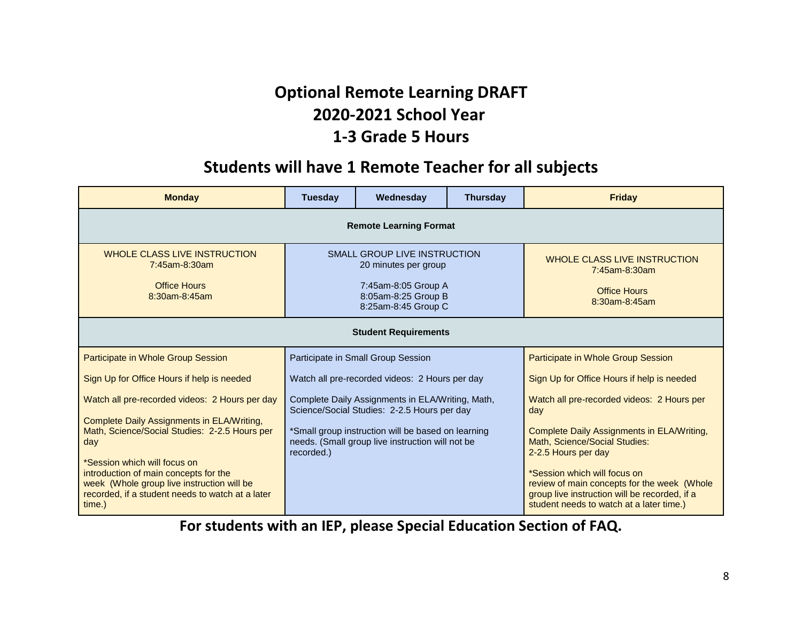# **Optional Remote Learning DRAFT 2020-2021 School Year 1-3 Grade 5 Hours**

### **Students will have 1 Remote Teacher for all subjects**

| <b>Monday</b>                                                                                                                                     | <b>Tuesday</b>                                                                                                                   | Wednesday                                                                                       | <b>Thursday</b>                                                                                    | <b>Friday</b>                                                                                                                                                            |  |  |
|---------------------------------------------------------------------------------------------------------------------------------------------------|----------------------------------------------------------------------------------------------------------------------------------|-------------------------------------------------------------------------------------------------|----------------------------------------------------------------------------------------------------|--------------------------------------------------------------------------------------------------------------------------------------------------------------------------|--|--|
| <b>Remote Learning Format</b>                                                                                                                     |                                                                                                                                  |                                                                                                 |                                                                                                    |                                                                                                                                                                          |  |  |
| <b>WHOLE CLASS LIVE INSTRUCTION</b><br>$7:45$ am-8:30am<br><b>Office Hours</b><br>8:30am-8:45am                                                   | <b>SMALL GROUP LIVE INSTRUCTION</b><br>20 minutes per group<br>7:45am-8:05 Group A<br>8:05am-8:25 Group B<br>8:25am-8:45 Group C |                                                                                                 |                                                                                                    | WHOLE CLASS LIVE INSTRUCTION<br>7:45am-8:30am<br><b>Office Hours</b><br>8:30am-8:45am                                                                                    |  |  |
| <b>Student Requirements</b>                                                                                                                       |                                                                                                                                  |                                                                                                 |                                                                                                    |                                                                                                                                                                          |  |  |
| Participate in Whole Group Session                                                                                                                |                                                                                                                                  | Participate in Small Group Session                                                              |                                                                                                    | Participate in Whole Group Session                                                                                                                                       |  |  |
| Sign Up for Office Hours if help is needed                                                                                                        |                                                                                                                                  | Watch all pre-recorded videos: 2 Hours per day                                                  | Sign Up for Office Hours if help is needed                                                         |                                                                                                                                                                          |  |  |
| Watch all pre-recorded videos: 2 Hours per day                                                                                                    |                                                                                                                                  | Complete Daily Assignments in ELA/Writing, Math,<br>Science/Social Studies: 2-2.5 Hours per day | Watch all pre-recorded videos: 2 Hours per<br>day                                                  |                                                                                                                                                                          |  |  |
| Complete Daily Assignments in ELA/Writing,<br>Math, Science/Social Studies: 2-2.5 Hours per<br>day<br>*Session which will focus on                | *Small group instruction will be based on learning<br>needs. (Small group live instruction will not be<br>recorded.)             |                                                                                                 | Complete Daily Assignments in ELA/Writing.<br>Math, Science/Social Studies:<br>2-2.5 Hours per day |                                                                                                                                                                          |  |  |
| introduction of main concepts for the<br>week (Whole group live instruction will be<br>recorded, if a student needs to watch at a later<br>time.) |                                                                                                                                  |                                                                                                 |                                                                                                    | *Session which will focus on<br>review of main concepts for the week (Whole<br>group live instruction will be recorded, if a<br>student needs to watch at a later time.) |  |  |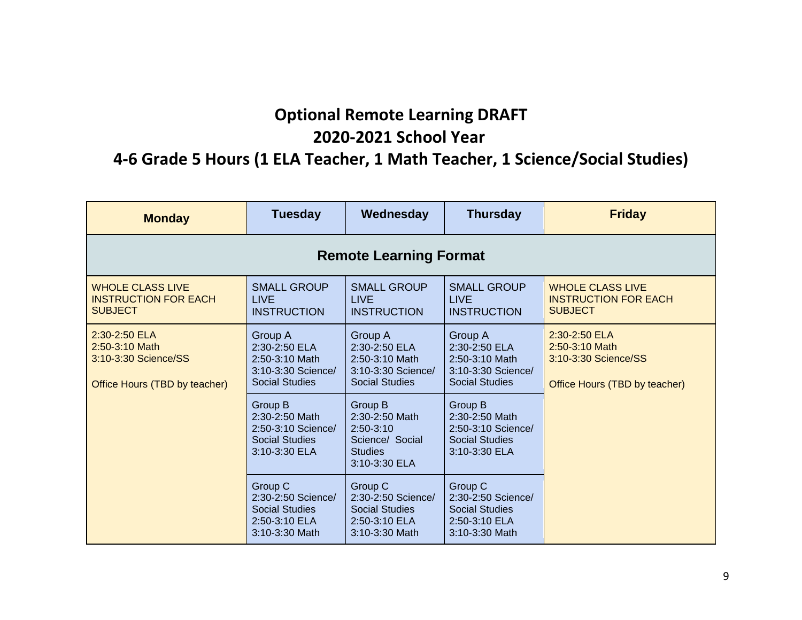### **Optional Remote Learning DRAFT 2020-2021 School Year**

### **4-6 Grade 5 Hours (1 ELA Teacher, 1 Math Teacher, 1 Science/Social Studies)**

| <b>Monday</b>                                                                            | <b>Tuesday</b>                                                                            | Wednesday                                                                                      | <b>Thursday</b>                                                                           | <b>Friday</b>                                                                            |  |  |  |
|------------------------------------------------------------------------------------------|-------------------------------------------------------------------------------------------|------------------------------------------------------------------------------------------------|-------------------------------------------------------------------------------------------|------------------------------------------------------------------------------------------|--|--|--|
| <b>Remote Learning Format</b>                                                            |                                                                                           |                                                                                                |                                                                                           |                                                                                          |  |  |  |
| <b>WHOLE CLASS LIVE</b><br><b>INSTRUCTION FOR EACH</b><br><b>SUBJECT</b>                 | <b>SMALL GROUP</b><br><b>LIVE</b><br><b>INSTRUCTION</b>                                   | <b>SMALL GROUP</b><br><b>LIVE</b><br><b>INSTRUCTION</b>                                        | <b>SMALL GROUP</b><br><b>LIVE</b><br><b>INSTRUCTION</b>                                   | <b>WHOLE CLASS LIVE</b><br><b>INSTRUCTION FOR EACH</b><br><b>SUBJECT</b>                 |  |  |  |
| 2:30-2:50 ELA<br>2:50-3:10 Math<br>3:10-3:30 Science/SS<br>Office Hours (TBD by teacher) | Group A<br>2:30-2:50 ELA<br>2:50-3:10 Math<br>3:10-3:30 Science/<br><b>Social Studies</b> | Group A<br>2:30-2:50 ELA<br>2:50-3:10 Math<br>3:10-3:30 Science/<br><b>Social Studies</b>      | Group A<br>2:30-2:50 ELA<br>2:50-3:10 Math<br>3:10-3:30 Science/<br><b>Social Studies</b> | 2:30-2:50 ELA<br>2:50-3:10 Math<br>3:10-3:30 Science/SS<br>Office Hours (TBD by teacher) |  |  |  |
|                                                                                          | Group B<br>2:30-2:50 Math<br>2:50-3:10 Science/<br><b>Social Studies</b><br>3:10-3:30 ELA | Group B<br>2:30-2:50 Math<br>$2:50-3:10$<br>Science/ Social<br><b>Studies</b><br>3:10-3:30 ELA | Group B<br>2:30-2:50 Math<br>2:50-3:10 Science/<br><b>Social Studies</b><br>3:10-3:30 ELA |                                                                                          |  |  |  |
|                                                                                          | Group C<br>2:30-2:50 Science/<br><b>Social Studies</b><br>2:50-3:10 ELA<br>3:10-3:30 Math | Group C<br>2:30-2:50 Science/<br><b>Social Studies</b><br>2:50-3:10 ELA<br>3:10-3:30 Math      | Group C<br>2:30-2:50 Science/<br><b>Social Studies</b><br>2:50-3:10 ELA<br>3:10-3:30 Math |                                                                                          |  |  |  |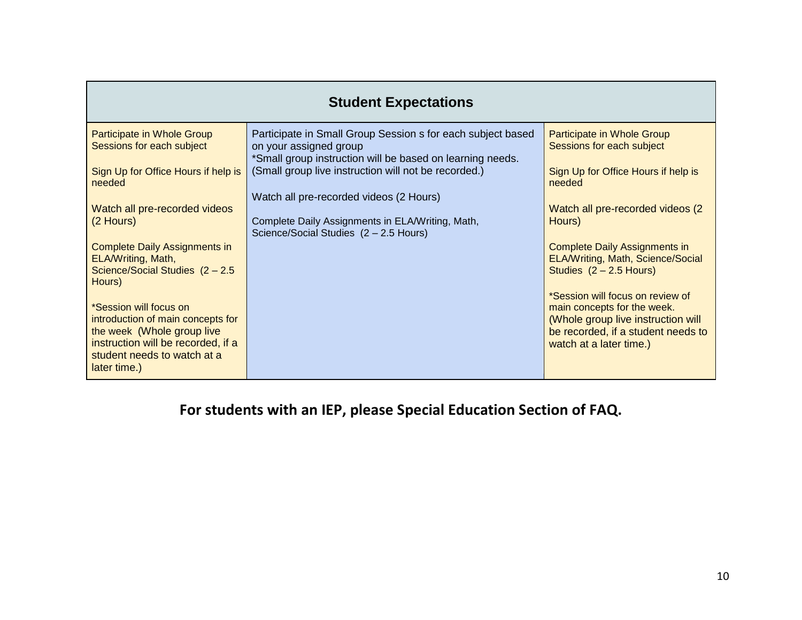| <b>Student Expectations</b>                                                                                                                                                              |                                                                                                                                       |                                                                                                                                                                        |  |  |  |
|------------------------------------------------------------------------------------------------------------------------------------------------------------------------------------------|---------------------------------------------------------------------------------------------------------------------------------------|------------------------------------------------------------------------------------------------------------------------------------------------------------------------|--|--|--|
| Participate in Whole Group<br>Sessions for each subject                                                                                                                                  | Participate in Small Group Session s for each subject based<br>on your assigned group                                                 | Participate in Whole Group<br>Sessions for each subject                                                                                                                |  |  |  |
| Sign Up for Office Hours if help is<br>needed                                                                                                                                            | *Small group instruction will be based on learning needs.<br>(Small group live instruction will not be recorded.)                     | Sign Up for Office Hours if help is<br>needed                                                                                                                          |  |  |  |
| Watch all pre-recorded videos<br>(2 Hours)                                                                                                                                               | Watch all pre-recorded videos (2 Hours)<br>Complete Daily Assignments in ELA/Writing, Math,<br>Science/Social Studies (2 - 2.5 Hours) | Watch all pre-recorded videos (2)<br>Hours)                                                                                                                            |  |  |  |
| <b>Complete Daily Assignments in</b><br>ELA/Writing, Math,<br>Science/Social Studies (2 - 2.5)                                                                                           |                                                                                                                                       | <b>Complete Daily Assignments in</b><br>ELA/Writing, Math, Science/Social<br>Studies $(2 - 2.5$ Hours)                                                                 |  |  |  |
| Hours)<br>*Session will focus on<br>introduction of main concepts for<br>the week (Whole group live<br>instruction will be recorded, if a<br>student needs to watch at a<br>later time.) |                                                                                                                                       | *Session will focus on review of<br>main concepts for the week.<br>(Whole group live instruction will<br>be recorded, if a student needs to<br>watch at a later time.) |  |  |  |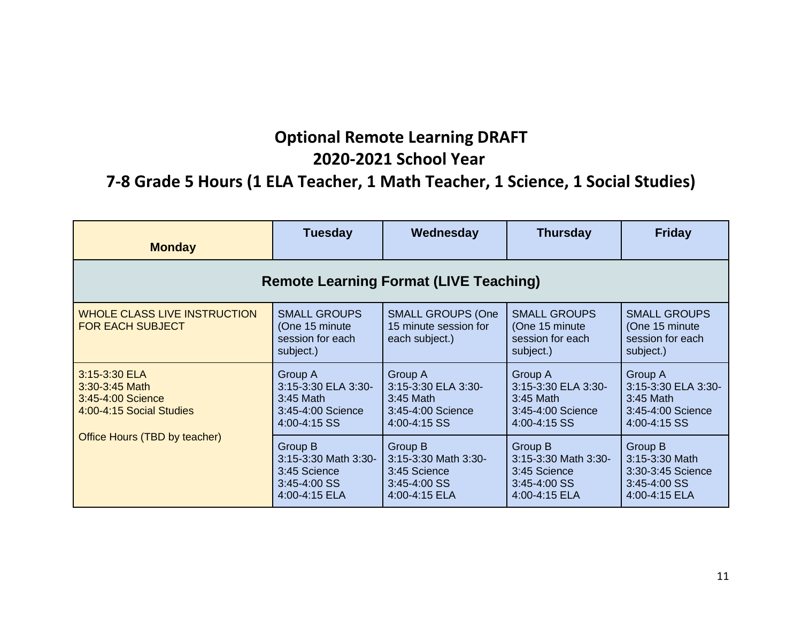# **Optional Remote Learning DRAFT 2020-2021 School Year**

### **7-8 Grade 5 Hours (1 ELA Teacher, 1 Math Teacher, 1 Science, 1 Social Studies)**

| <b>Monday</b>                                                                    | <b>Tuesday</b>                                                                   | Wednesday                                                                               | <b>Thursday</b>                                                                  | <b>Friday</b>                                                                      |  |  |
|----------------------------------------------------------------------------------|----------------------------------------------------------------------------------|-----------------------------------------------------------------------------------------|----------------------------------------------------------------------------------|------------------------------------------------------------------------------------|--|--|
| <b>Remote Learning Format (LIVE Teaching)</b>                                    |                                                                                  |                                                                                         |                                                                                  |                                                                                    |  |  |
| <b>WHOLE CLASS LIVE INSTRUCTION</b><br><b>FOR EACH SUBJECT</b>                   | <b>SMALL GROUPS</b><br>(One 15 minute)<br>session for each<br>subject.)          | <b>SMALL GROUPS (One</b><br>15 minute session for<br>each subject.)                     | <b>SMALL GROUPS</b><br>(One 15 minute)<br>session for each<br>subject.)          | <b>SMALL GROUPS</b><br>(One 15 minute)<br>session for each<br>subject.)            |  |  |
| 3:15-3:30 ELA<br>3:30-3:45 Math<br>3:45-4:00 Science<br>4:00-4:15 Social Studies | Group A<br>3:15-3:30 ELA 3:30-<br>3:45 Math<br>3:45-4:00 Science<br>4:00-4:15 SS | <b>Group A</b><br>3:15-3:30 ELA 3:30-<br>3:45 Math<br>3:45-4:00 Science<br>4:00-4:15 SS | Group A<br>3:15-3:30 ELA 3:30-<br>3:45 Math<br>3:45-4:00 Science<br>4:00-4:15 SS | Group A<br>3:15-3:30 ELA 3:30-<br>$3:45$ Math<br>3:45-4:00 Science<br>4:00-4:15 SS |  |  |
| Office Hours (TBD by teacher)                                                    | Group B<br>3:15-3:30 Math 3:30-<br>3:45 Science<br>3:45-4:00 SS<br>4:00-4:15 ELA | Group B<br>3:15-3:30 Math 3:30-<br>3:45 Science<br>3:45-4:00 SS<br>4:00-4:15 ELA        | Group B<br>3:15-3:30 Math 3:30-<br>3:45 Science<br>3:45-4:00 SS<br>4:00-4:15 ELA | Group B<br>3:15-3:30 Math<br>3:30-3:45 Science<br>3:45-4:00 SS<br>4:00-4:15 ELA    |  |  |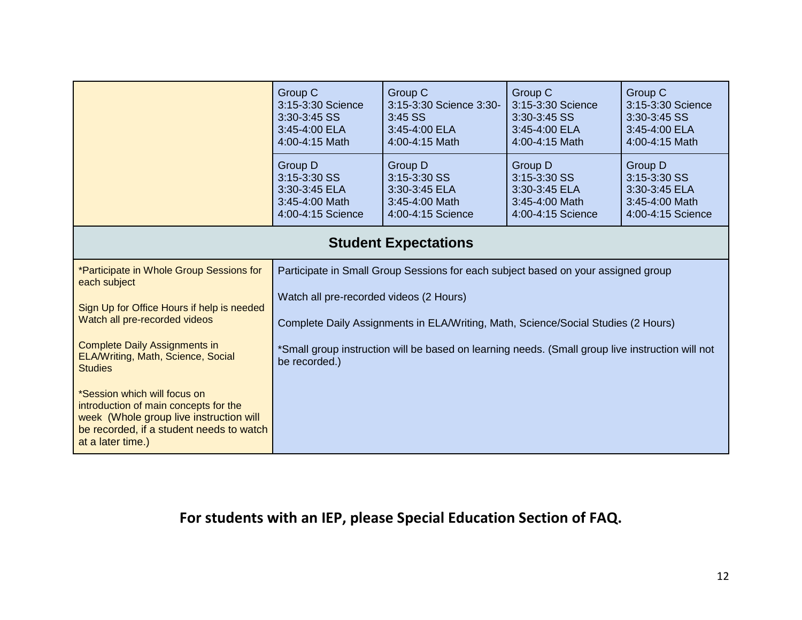|                                                                                                                                                                                   | Group C<br>3:15-3:30 Science<br>3:30-3:45 SS<br>3:45-4:00 ELA<br>4:00-4:15 Math                                   | Group C<br>3:15-3:30 Science 3:30-<br>$3:45$ SS<br>3:45-4:00 ELA<br>4:00-4:15 Math                                           | Group C<br>3:15-3:30 Science<br>3:30-3:45 SS<br>3:45-4:00 ELA<br>4:00-4:15 Math | Group C<br>3:15-3:30 Science<br>3:30-3:45 SS<br>3:45-4:00 ELA<br>4:00-4:15 Math |  |
|-----------------------------------------------------------------------------------------------------------------------------------------------------------------------------------|-------------------------------------------------------------------------------------------------------------------|------------------------------------------------------------------------------------------------------------------------------|---------------------------------------------------------------------------------|---------------------------------------------------------------------------------|--|
|                                                                                                                                                                                   | Group D<br>3:15-3:30 SS<br>3:30-3:45 ELA<br>3:45-4:00 Math<br>4:00-4:15 Science                                   | Group D<br>3:15-3:30 SS<br>3:30-3:45 ELA<br>3:45-4:00 Math<br>4:00-4:15 Science                                              | Group D<br>3:15-3:30 SS<br>3:30-3:45 ELA<br>3:45-4:00 Math<br>4:00-4:15 Science | Group D<br>3:15-3:30 SS<br>3:30-3:45 ELA<br>3:45-4:00 Math<br>4:00-4:15 Science |  |
|                                                                                                                                                                                   | <b>Student Expectations</b>                                                                                       |                                                                                                                              |                                                                                 |                                                                                 |  |
| *Participate in Whole Group Sessions for<br>each subject                                                                                                                          |                                                                                                                   | Participate in Small Group Sessions for each subject based on your assigned group                                            |                                                                                 |                                                                                 |  |
| Sign Up for Office Hours if help is needed<br>Watch all pre-recorded videos                                                                                                       |                                                                                                                   | Watch all pre-recorded videos (2 Hours)<br>Complete Daily Assignments in ELA/Writing, Math, Science/Social Studies (2 Hours) |                                                                                 |                                                                                 |  |
| <b>Complete Daily Assignments in</b><br>ELA/Writing, Math, Science, Social<br><b>Studies</b>                                                                                      | *Small group instruction will be based on learning needs. (Small group live instruction will not<br>be recorded.) |                                                                                                                              |                                                                                 |                                                                                 |  |
| *Session which will focus on<br>introduction of main concepts for the<br>week (Whole group live instruction will<br>be recorded, if a student needs to watch<br>at a later time.) |                                                                                                                   |                                                                                                                              |                                                                                 |                                                                                 |  |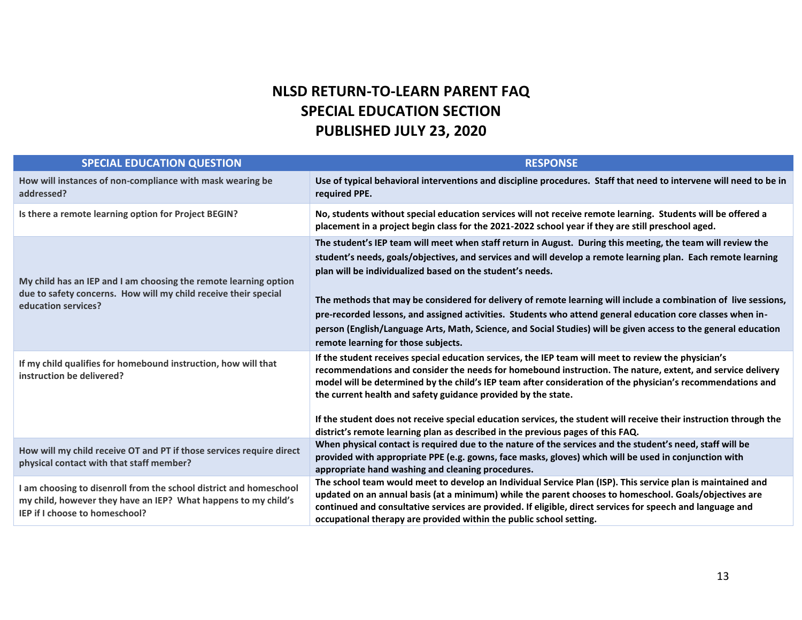#### **NLSD RETURN-TO-LEARN PARENT FAQ SPECIAL EDUCATION SECTION PUBLISHED JULY 23, 2020**

| <b>SPECIAL EDUCATION QUESTION</b>                                                                                                                                      | <b>RESPONSE</b>                                                                                                                                                                                                                                                                                                                                                                                                                                                                                                                                                                                                                                                                      |
|------------------------------------------------------------------------------------------------------------------------------------------------------------------------|--------------------------------------------------------------------------------------------------------------------------------------------------------------------------------------------------------------------------------------------------------------------------------------------------------------------------------------------------------------------------------------------------------------------------------------------------------------------------------------------------------------------------------------------------------------------------------------------------------------------------------------------------------------------------------------|
| How will instances of non-compliance with mask wearing be<br>addressed?                                                                                                | Use of typical behavioral interventions and discipline procedures. Staff that need to intervene will need to be in<br>required PPE.                                                                                                                                                                                                                                                                                                                                                                                                                                                                                                                                                  |
| Is there a remote learning option for Project BEGIN?                                                                                                                   | No, students without special education services will not receive remote learning. Students will be offered a<br>placement in a project begin class for the 2021-2022 school year if they are still preschool aged.                                                                                                                                                                                                                                                                                                                                                                                                                                                                   |
| My child has an IEP and I am choosing the remote learning option<br>due to safety concerns. How will my child receive their special<br>education services?             | The student's IEP team will meet when staff return in August. During this meeting, the team will review the<br>student's needs, goals/objectives, and services and will develop a remote learning plan. Each remote learning<br>plan will be individualized based on the student's needs.<br>The methods that may be considered for delivery of remote learning will include a combination of live sessions,<br>pre-recorded lessons, and assigned activities. Students who attend general education core classes when in-<br>person (English/Language Arts, Math, Science, and Social Studies) will be given access to the general education<br>remote learning for those subjects. |
| If my child qualifies for homebound instruction, how will that<br>instruction be delivered?                                                                            | If the student receives special education services, the IEP team will meet to review the physician's<br>recommendations and consider the needs for homebound instruction. The nature, extent, and service delivery<br>model will be determined by the child's IEP team after consideration of the physician's recommendations and<br>the current health and safety guidance provided by the state.<br>If the student does not receive special education services, the student will receive their instruction through the<br>district's remote learning plan as described in the previous pages of this FAQ.                                                                          |
| How will my child receive OT and PT if those services require direct<br>physical contact with that staff member?                                                       | When physical contact is required due to the nature of the services and the student's need, staff will be<br>provided with appropriate PPE (e.g. gowns, face masks, gloves) which will be used in conjunction with<br>appropriate hand washing and cleaning procedures.                                                                                                                                                                                                                                                                                                                                                                                                              |
| I am choosing to disenroll from the school district and homeschool<br>my child, however they have an IEP? What happens to my child's<br>IEP if I choose to homeschool? | The school team would meet to develop an Individual Service Plan (ISP). This service plan is maintained and<br>updated on an annual basis (at a minimum) while the parent chooses to homeschool. Goals/objectives are<br>continued and consultative services are provided. If eligible, direct services for speech and language and<br>occupational therapy are provided within the public school setting.                                                                                                                                                                                                                                                                           |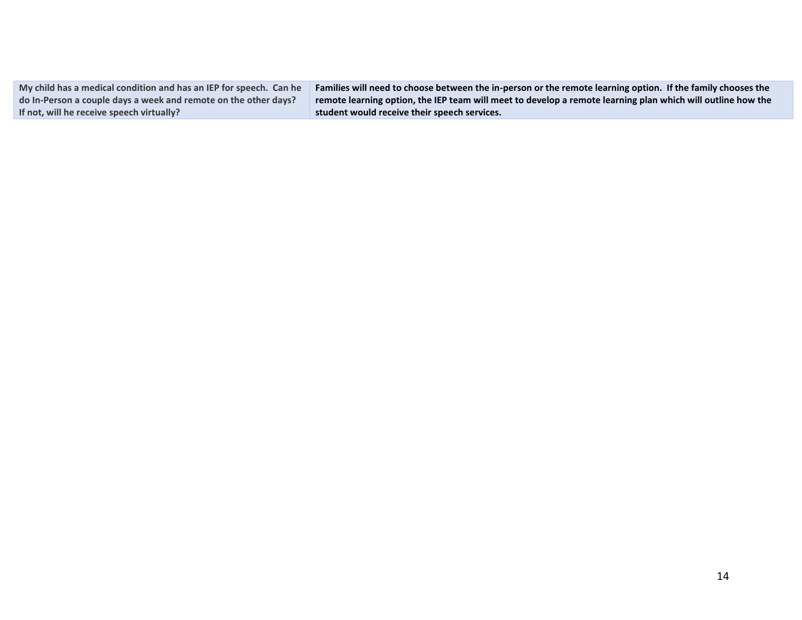| My child has a medical condition and has an IEP for speech. Can he | Families will need to choose between the in-person or the remote learning option. If the family chooses the |
|--------------------------------------------------------------------|-------------------------------------------------------------------------------------------------------------|
| do In-Person a couple days a week and remote on the other days?    | remote learning option, the IEP team will meet to develop a remote learning plan which will outline how the |
| If not, will he receive speech virtually?                          | student would receive their speech services.                                                                |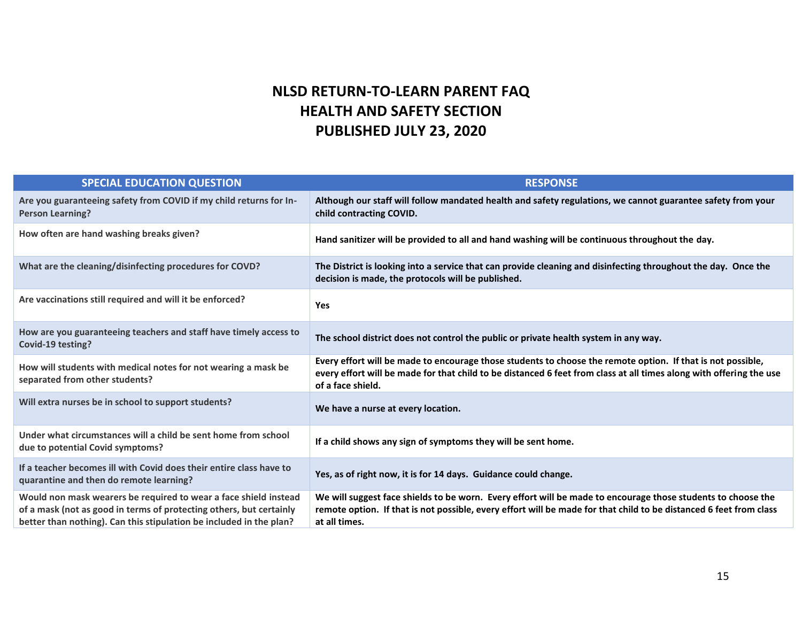#### **NLSD RETURN-TO-LEARN PARENT FAQ HEALTH AND SAFETY SECTION PUBLISHED JULY 23, 2020**

| <b>SPECIAL EDUCATION QUESTION</b>                                                                                                                                                                              | <b>RESPONSE</b>                                                                                                                                                                                                                                         |
|----------------------------------------------------------------------------------------------------------------------------------------------------------------------------------------------------------------|---------------------------------------------------------------------------------------------------------------------------------------------------------------------------------------------------------------------------------------------------------|
| Are you guaranteeing safety from COVID if my child returns for In-<br><b>Person Learning?</b>                                                                                                                  | Although our staff will follow mandated health and safety regulations, we cannot guarantee safety from your<br>child contracting COVID.                                                                                                                 |
| How often are hand washing breaks given?                                                                                                                                                                       | Hand sanitizer will be provided to all and hand washing will be continuous throughout the day.                                                                                                                                                          |
| What are the cleaning/disinfecting procedures for COVD?                                                                                                                                                        | The District is looking into a service that can provide cleaning and disinfecting throughout the day. Once the<br>decision is made, the protocols will be published.                                                                                    |
| Are vaccinations still required and will it be enforced?                                                                                                                                                       | <b>Yes</b>                                                                                                                                                                                                                                              |
| How are you guaranteeing teachers and staff have timely access to<br>Covid-19 testing?                                                                                                                         | The school district does not control the public or private health system in any way.                                                                                                                                                                    |
| How will students with medical notes for not wearing a mask be<br>separated from other students?                                                                                                               | Every effort will be made to encourage those students to choose the remote option. If that is not possible,<br>every effort will be made for that child to be distanced 6 feet from class at all times along with offering the use<br>of a face shield. |
| Will extra nurses be in school to support students?                                                                                                                                                            | We have a nurse at every location.                                                                                                                                                                                                                      |
| Under what circumstances will a child be sent home from school<br>due to potential Covid symptoms?                                                                                                             | If a child shows any sign of symptoms they will be sent home.                                                                                                                                                                                           |
| If a teacher becomes ill with Covid does their entire class have to<br>quarantine and then do remote learning?                                                                                                 | Yes, as of right now, it is for 14 days. Guidance could change.                                                                                                                                                                                         |
| Would non mask wearers be required to wear a face shield instead<br>of a mask (not as good in terms of protecting others, but certainly<br>better than nothing). Can this stipulation be included in the plan? | We will suggest face shields to be worn. Every effort will be made to encourage those students to choose the<br>remote option. If that is not possible, every effort will be made for that child to be distanced 6 feet from class<br>at all times.     |